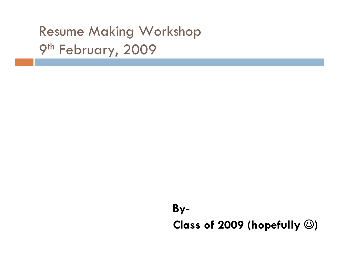## Resume Making Workshop 9<sup>th</sup> February, 2009

## **By-Class of 2009 (hopefully**  ☺ **)**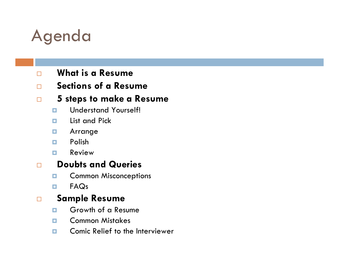# Agenda

 $\Box$ 

### $\Box$ **What is a Resume**

### $\Box$ **Sections of a Resume**

### **5 steps to make a Resume**

- п Understand Yourself!
- п List and Pick
- о Arrange
- $\Box$ Polish
- п Review

#### $\Box$ **Doubts and Queries**

- п Common Misconceptions
- п FAQs

### $\Box$ **Sample Resume**

- п Growth of a Resume
- п Common Mistakes
- п Comic Relief to the Interviewer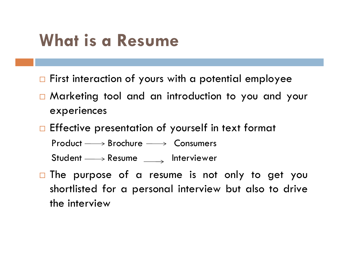# **What is a Resume**

- $\Box$  First interaction of yours with a potential employee
- Marketing tool and an introduction to you and your experiences
- $\Box$  Effective presentation of yourself in text format
	- $Product \longrightarrow Brochure \longrightarrow Consumers$
	- Student  $\longrightarrow$  Resume  $\longrightarrow$  Interviewer
- $\Box$  The purpose of a resume is not only to get you shortlisted for a personal interview but also to drive the interview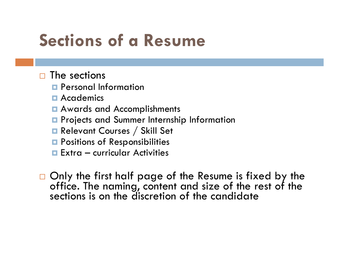# **Sections of a Resume**

### $\square$  The sections

- **Q** Personal Information
- **<u>n</u>** Academics
- **Q** Awards and Accomplishments
- **P** Projects and Summer Internship Information
- **Relevant Courses / Skill Set**
- **Q** Positions of Responsibilities
- Extra curricular Activities

 $\Box$  Only the first half page of the Resume is fixed by the office. The naming, content and size of the rest of the sections is on the discretion of the candidate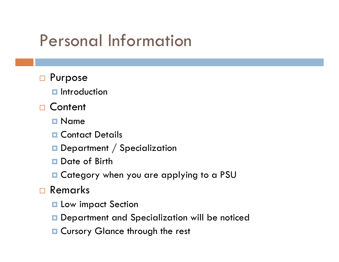# Personal Information

- □ Purpose
	- **<u>E</u>** Introduction
- □ Content
	- **n** Name
	- **Q** Contact Details
	- $\textcolor{red}{\blacksquare}$  Department  $/$  Specialization
	- **Date of Birth**
	- Category when you are applying to a PSU
- Remarks
	- **Latter Low impact Section**
	- **O** Department and Specialization will be noticed
	- **Q** Cursory Glance through the rest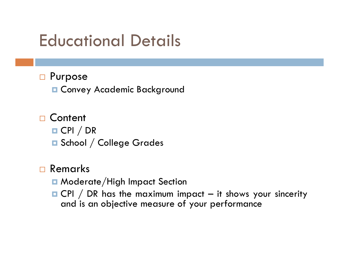# Educational Details

## □ Purpose

Convey Academic Background

## □ Content CPI / DR **□ School / College Grades**

## □ Remarks

- **Q** Moderate/High Impact Section
- $\blacksquare$  CPI / DR has the maximum impact it shows your sincerity and is an objective measure of your performance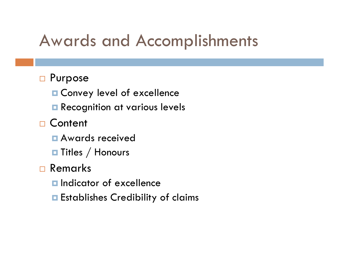# Awards and Accomplishments

### □ Purpose

- Convey level of excellence
- **Recognition at various levels**
- □ Content
	- Awards received
	- $\blacksquare$  Titles  $/$  Honours
- □ Remarks
	- **<u>Elandicator</u>** of excellence
	- **E** Establishes Credibility of claims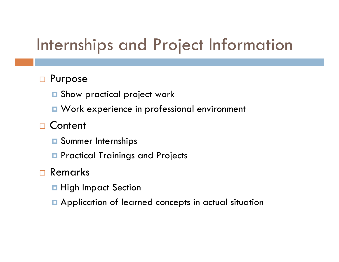# Internships and Project Information

## □ Purpose

- $\blacksquare$  Show practical project work
- **u** Work experience in professional environment

## □ Content

- **O** Summer Internships
- **P** Practical Trainings and Projects

## □ Remarks

- **High Impact Section**
- **E** Application of learned concepts in actual situation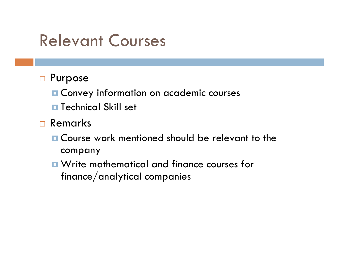## Relevant Courses

- □ Purpose
	- **¤ Convey information on academic courses**
	- **¤ Technical Skill set**
- □ Remarks
	- **□ Course work mentioned should be relevant to the** company
	- Write mathematical and finance courses for finance/analytical companies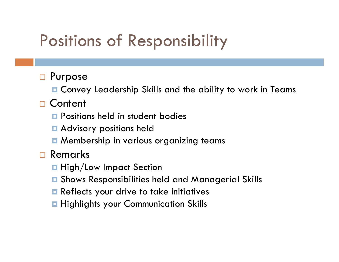# Positions of Responsibility

### $\Box$ Purpose

■ Convey Leadership Skills and the ability to work in Teams

## □ Content

- **<u>E</u>** Positions held in student bodies
- **Advisory positions held**
- $\blacksquare$  Membership in various organizing teams

## Remarks

- **High/Low Impact Section**
- o. Shows Responsibilities held and Managerial Skills
- **Reflects your drive to take initiatives**
- **Highlights your Communication Skills**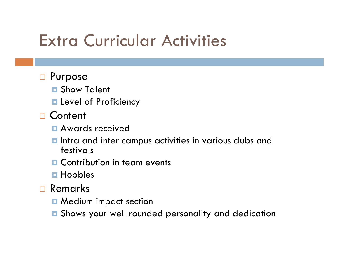# Extra Curricular Activities

### □ Purpose

- **□ Show Talent**
- **Level of Proficiency**
- □ Content
	- Awards received
	- $\blacksquare$  Intra and inter campus activities in various clubs and festivals
	- **Q** Contribution in team events
	- **□ Hobbies**
- □ Remarks
	- **n** Medium impact section
	- $\blacksquare$  Shows your well rounded personality and dedication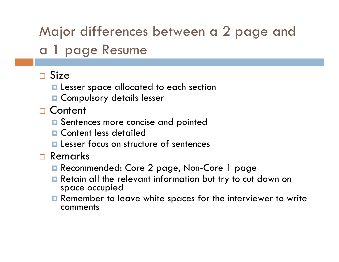## Major differences between a 2 page and a 1 page Resume

## □ Size

- **La** Lesser space allocated to each section
- **O** Compulsory details lesser
- □ Content
	- **□** Sentences more concise and pointed
	- **Q** Content less detailed
	- **La** Lesser focus on structure of sentences
- □ Remarks
	- Recommended: Core 2 page, Non-Core 1 page
	- **E** Retain all the relevant information but try to cut down on space occupied
	- **E** Remember to leave white spaces for the interviewer to write comments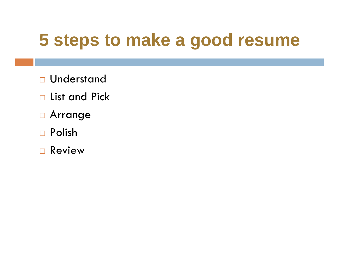# **5 steps to make a good resume**

- □ Understand
- □ List and Pick
- **D** Arrange
- Polish
- Review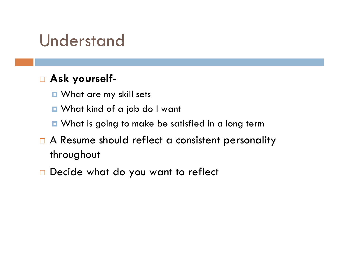## Understand

## **Ask yourself-**

- What are my skill sets
- What kind of a job do I want
- What is going to make be satisfied in a long term
- $\Box$  A Resume should reflect a consistent personality throughout
- $\Box$  Decide what do you want to reflect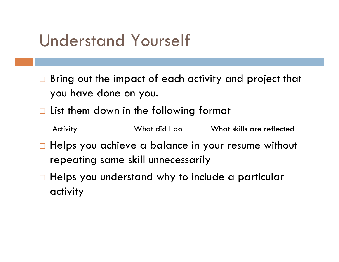# Understand Yourself

- □ Bring out the impact of each activity and project that you have done on you.
- $\Box$  List them down in the following format
	- Activity What did I do What skills are reflected
- $\Box$  Helps you achieve a balance in your resume without repeating same skill unnecessarily
- $\Box$  Helps you understand why to include a particular activity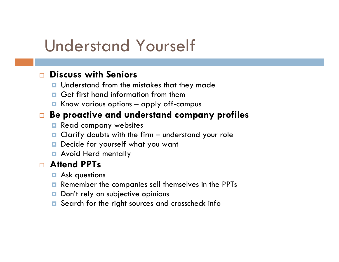# Understand Yourself

#### $\Box$ **Discuss with Seniors**

- **<u>n</u>** Understand from the mistakes that they made
- **Q** Get first hand information from them
- **E** Know various options apply off-campus

#### $\Box$ **Be proactive and understand company profiles**

- п Read company websites
- $\Box$ Clarify doubts with the firm – understand your role
- п Decide for yourself what you want
- **Avoid Herd mentally**

### $\Box$ **Attend PPTs**

- **E** Ask questions
- $\Box$ Remember the companies sell themselves in the PPTs
- $\Box$ Don't rely on subjective opinions
- $\Box$ Search for the right sources and crosscheck info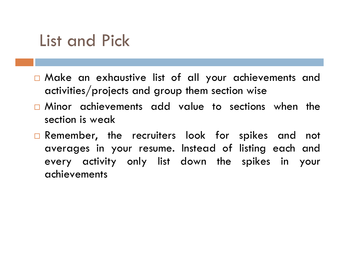## List and Pick

- Make an exhaustive list of all your achievements and activities/projects and group them section wise
- Minor achievements add value to sections when the section is weak
- **Q** Remember, the recruiters look for spikes and not averages in your resume. Instead of listing each and every activity only list down the spikes in your achievements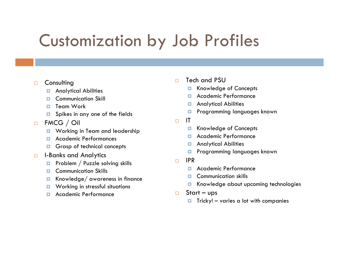# Customization by Job Profiles

#### $\Box$ **Consulting**

- о Analytical Abilities
- п Communication Skill
- п Team Work
- п Spikes in any one of the fields
- $\Box$  FMCG / Oil
	- $\Box$ Working in Team and leadership
	- п Academic Performances
	- о Grasp of technical concepts
- $\Box$  I-Banks and Analytics
	- Ξ Problem / Puzzle solving skills
	- п Communication Skills
	- о Knowledge/ awareness in finance
	- $\Box$ Working in stressful situations
	- п Academic Performance
- $\Box$  Tech and PSU
	- п Knowledge of Concepts
	- п Academic Performance
	- п Analytical Abilities
	- п Programming languages known
- $\Box$  IT
	- о Knowledge of Concepts
	- Academic Performance
	- п Analytical Abilities
	- Ξ Programming languages known
- $\Box$  IPR
	- п Academic Performance
	- Communication skills
	- $\blacksquare$ Knowledge about upcoming technologies
- $\Box$  Start – ups
	- о Tricky! – varies a lot with companies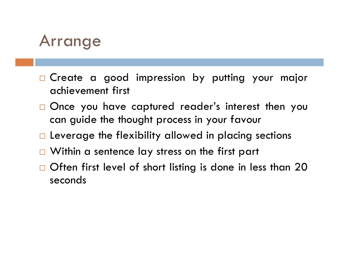

- **n** Create a good impression by putting your major achievement first
- □ Once you have captured reader's interest then you can guide the thought process in your favour
- $\Box$  Leverage the flexibility allowed in placing sections
- □ Within a sentence lay stress on the first part
- $\Box$  Often first level of short listing is done in less than 20  $\Box$ seconds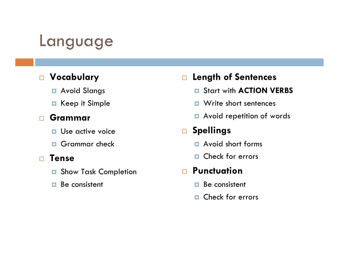## Language

### **Vocabulary**

- Avoid Slangs
- **□** Keep it Simple

### $\Box$ **Grammar**

- **<u>n</u>** Use active voice
- **Grammar check**

#### $\Box$ **Tense**

- $\Box$ Show Task Completion
- п Be consistent

### $\Box$ **Length of Sentences**

- Start with **ACTION VERBS**
- **D** Write short sentences
- **Avoid repetition of words**

### $\Box$ **Spellings**

- **E** Avoid short forms
- **D** Check for errors

### **Punctuation**

- D. Be consistent
- $\Box$ Check for errors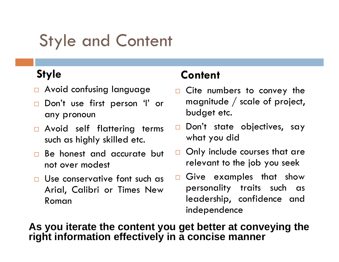# Style and Content

## **Style**

- $\Box$  Avoid confusing language
- □ Don't use first person 'I' or any pronoun
- **a** Avoid self flattering terms such as highly skilled etc.
- **Be honest and accurate but** not over modest
- □ Use conservative font such as Arial, Calibri or Times New Roman

## **Content**

- **Q** Cite numbers to convey the magnitude / scale of project, budget etc.
- □ Don't state objectives, say what you did
- $\Box$  Only include courses that are relevant to the job you seek
- $\square$  Give examples that show personality traits such as leadership, confidence and independence

### **As you iterate the content you get better at conveying the right information effectively in a concise manner**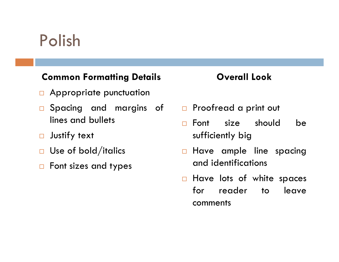# Polish

### **Common Formatting Details**

- **Q** Appropriate punctuation
- $\overline{\phantom{a}}$  Spacing and margins of lines and bullets
- $\Box$ Justify text
- $\Box$ Use of bold/italics
- $\Box$  Font sizes and types

### **Overall Look**

- $\Box$  Proofread a print out
- $\Box$  Font size should be sufficiently big
- $\Box$  Have ample line spacing and identifications
- $\square$  Have lots of white spaces for reader to leave comments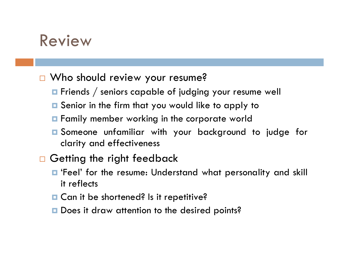## Review

### □ Who should review your resume?

- $\blacksquare$  Friends  $/$  seniors capable of judging your resume well
- Senior in the firm that you would like to apply to
- **F** Family member working in the corporate world
- Someone unfamiliar with your background to judge for clarity and effectiveness

## **n** Getting the right feedback

- 'Feel' for the resume: Understand what personality and skill it reflects
- **□ Can it be shortened? Is it repetitive?**
- **□** Does it draw attention to the desired points?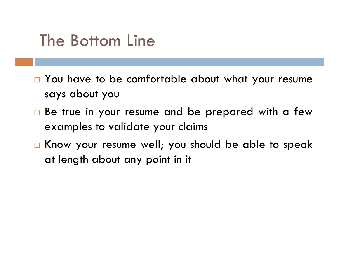# The Bottom Line

- □ You have to be comfortable about what your resume says about you
- $\square$  Be true in your resume and be prepared with a few examples to validate your claims
- $\Box$  Know your resume well; you should be able to speak at length about any point in it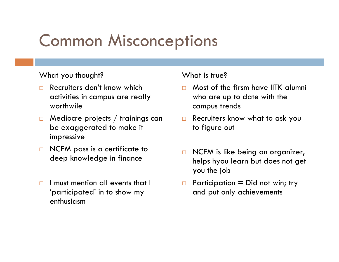# Common Misconceptions

### What you thought?

- $\Box$  Recruiters don't know which activities in campus are really worthwile
- $\Box$  Mediocre projects / trainings can be exaggerated to make it impressive
- $\Box$  NCFM pass is a certificate to deep knowledge in finance
- $\Box$  I must mention all events that I 'participated' in to show my enthusiasm

### What is true?

- $\Box$  Most of the firsm have IITK alumni who are up to date with the campus trends
- $\Box$  Recruiters know what to ask you to figure out
- $\Box$  NCFM is like being an organizer, helps hyou learn but does not get you the job
- $\Box$ Participation  $=$  Did not win; try and put only achievements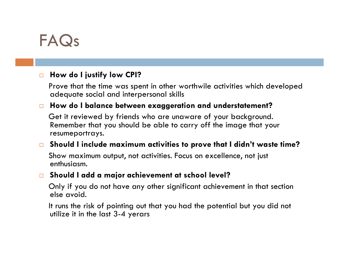## FAQs

#### $\Box$ **How do I justify low CPI?**

Prove that the time was spent in other worthwile activities which developed adequate social and interpersonal skills

#### $\Box$ **How do I balance between exaggeration and understatement?**

Get it reviewed by friends who are unaware of your background. Remember that you should be able to carry off the image that your resumeportrays.

#### $\Box$ **Should I include maximum activities to prove that I didn't waste time?**

Show maximum output, not activities. Focus on excellence, not just enthusiasm.

#### $\Box$ **Should I add a major achievement at school level?**

Only if you do not have any other significant achievement in that section else avoid.

It runs the risk of pointing out that you had the potential but you did not utilize it in the last 3-4 yerars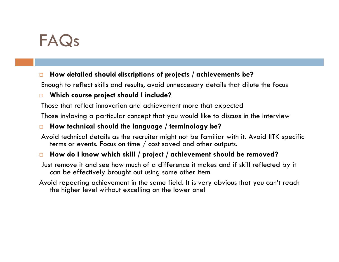## FAQs

#### $\Box$ **How detailed should discriptions of projects / achievements be?**

Enough to reflect skills and results, avoid unneccesary details that dilute the focus

#### $\Box$ **Which course project should I include?**

Those that reflect innovation and achievement more that expected

Those invloving a particular concept that you would like to discuss in the interview

#### $\Box$ **How technical should the language / terminology be?**

Avoid technical details as the recruiter might not be familiar with it. Avoid IITK specific terms or events. Focus on time / cost saved and other outputs.

#### $\Box$ **How do I know which skill / project / achievement should be removed?**

Just remove it and see how much of a difference it makes and if skill reflected by it can be effectively brought out using some other item

Avoid repeating achievement in the same field. It is very obvious that you can't reach the higher level without excelling on the lower one!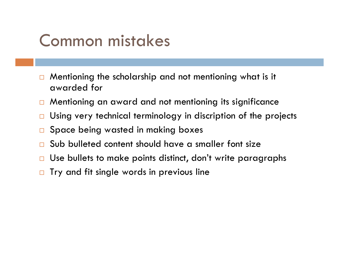# Common mistakes

- $\Box$  Mentioning the scholarship and not mentioning what is it awarded for
- $\Box$ Mentioning an award and not mentioning its significance
- $\Box$ Using very technical terminology in discription of the projects
- $\Box$ Space being wasted in making boxes
- $\Box$ Sub bulleted content should have a smaller font size
- $\Box$ Use bullets to make points distinct, don't write paragraphs
- $\Box$ Try and fit single words in previous line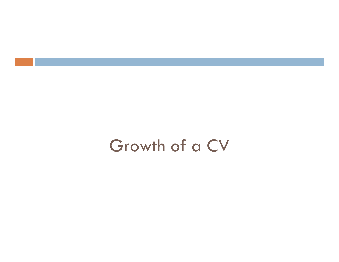## Growth of a CV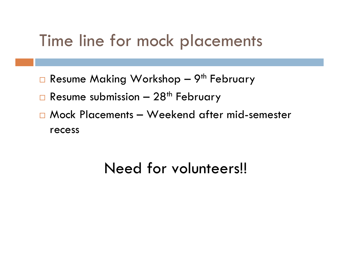## Time line for mock placements

- □ Resume Making Workshop 9<sup>th</sup> February
- $\Box$  Resume submission 28<sup>th</sup> February
- Mock Placements Weekend after mid-semester recess

## Need for volunteers!!